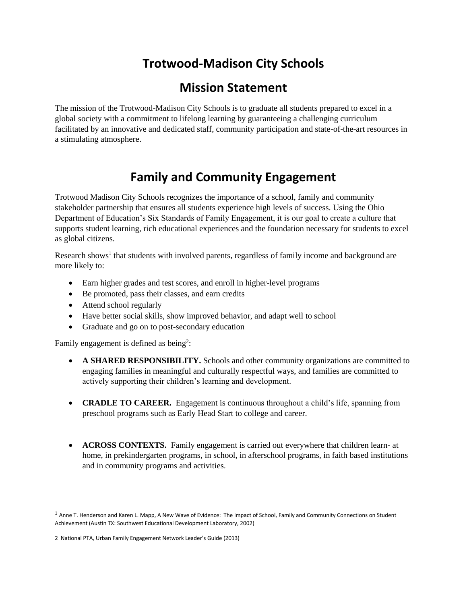# **Trotwood-Madison City Schools**

## **Mission Statement**

The mission of the Trotwood-Madison City Schools is to graduate all students prepared to excel in a global society with a commitment to lifelong learning by guaranteeing a challenging curriculum facilitated by an innovative and dedicated staff, community participation and state-of-the-art resources in a stimulating atmosphere.

# **Family and Community Engagement**

Trotwood Madison City Schools recognizes the importance of a school, family and community stakeholder partnership that ensures all students experience high levels of success. Using the Ohio Department of Education's Six Standards of Family Engagement, it is our goal to create a culture that supports student learning, rich educational experiences and the foundation necessary for students to excel as global citizens.

Research shows<sup>1</sup> that students with involved parents, regardless of family income and background are more likely to:

- Earn higher grades and test scores, and enroll in higher-level programs
- Be promoted, pass their classes, and earn credits
- Attend school regularly
- Have better social skills, show improved behavior, and adapt well to school
- Graduate and go on to post-secondary education

Family engagement is defined as being<sup>2</sup>:

- **A SHARED RESPONSIBILITY.** Schools and other community organizations are committed to engaging families in meaningful and culturally respectful ways, and families are committed to actively supporting their children's learning and development.
- **CRADLE TO CAREER.** Engagement is continuous throughout a child's life, spanning from preschool programs such as Early Head Start to college and career.
- **ACROSS CONTEXTS.** Family engagement is carried out everywhere that children learn- at home, in prekindergarten programs, in school, in afterschool programs, in faith based institutions and in community programs and activities.

 $\overline{\phantom{a}}$ 

 $1$  Anne T. Henderson and Karen L. Mapp, A New Wave of Evidence: The Impact of School, Family and Community Connections on Student Achievement (Austin TX: Southwest Educational Development Laboratory, 2002)

<sup>2</sup> National PTA, Urban Family Engagement Network Leader's Guide (2013)